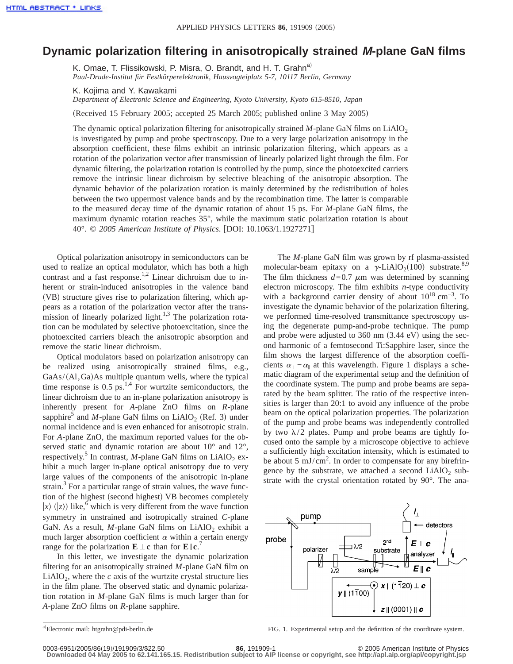## **Dynamic polarization filtering in anisotropically strained M-plane GaN films**

K. Omae, T. Flissikowski, P. Misra, O. Brandt, and H. T. Grahn<sup>a)</sup> *Paul-Drude-Institut für Festkörperelektronik, Hausvogteiplatz 5-7, 10117 Berlin, Germany*

K. Kojima and Y. Kawakami

*Department of Electronic Science and Engineering, Kyoto University, Kyoto 615-8510, Japan*

(Received 15 February 2005; accepted 25 March 2005; published online 3 May 2005)

The dynamic optical polarization filtering for anisotropically strained  $M$ -plane GaN films on LiAlO<sub>2</sub> is investigated by pump and probe spectroscopy. Due to a very large polarization anisotropy in the absorption coefficient, these films exhibit an intrinsic polarization filtering, which appears as a rotation of the polarization vector after transmission of linearly polarized light through the film. For dynamic filtering, the polarization rotation is controlled by the pump, since the photoexcited carriers remove the intrinsic linear dichroism by selective bleaching of the anisotropic absorption. The dynamic behavior of the polarization rotation is mainly determined by the redistribution of holes between the two uppermost valence bands and by the recombination time. The latter is comparable to the measured decay time of the dynamic rotation of about 15 ps. For *M*-plane GaN films, the maximum dynamic rotation reaches 35°, while the maximum static polarization rotation is about 40°. © *2005 American Institute of Physics*. fDOI: 10.1063/1.1927271g

Optical polarization anisotropy in semiconductors can be used to realize an optical modulator, which has both a high contrast and a fast response.<sup>1,2</sup> Linear dichroism due to inherent or strain-induced anisotropies in the valence band (VB) structure gives rise to polarization filtering, which appears as a rotation of the polarization vector after the transmission of linearly polarized light. $1,3$  The polarization rotation can be modulated by selective photoexcitation, since the photoexcited carriers bleach the anisotropic absorption and remove the static linear dichroism.

Optical modulators based on polarization anisotropy can be realized using anisotropically strained films, e.g., GaAs/(Al,Ga)As multiple quantum wells, where the typical time response is  $0.5 \text{ ps}^{1,4}$  For wurtzite semiconductors, the linear dichroism due to an in-plane polarization anisotropy is inherently present for *A*-plane ZnO films on *R*-plane sapphire<sup>5</sup> and *M*-plane GaN films on LiAlO<sub>2</sub> (Ref. 3) under normal incidence and is even enhanced for anisotropic strain. For *A*-plane ZnO, the maximum reported values for the observed static and dynamic rotation are about  $10^{\circ}$  and  $12^{\circ}$ , respectively.<sup>5</sup> In contrast, *M*-plane GaN films on LiAlO<sub>2</sub> exhibit a much larger in-plane optical anisotropy due to very large values of the components of the anisotropic in-plane strain. $3$  For a particular range of strain values, the wave function of the highest (second highest) VB becomes completely  $|x\rangle$  ( $|z\rangle$ ) like,<sup>6</sup> which is very different from the wave function symmetry in unstrained and isotropically strained *C*-plane GaN. As a result,  $M$ -plane GaN films on LiAlO<sub>2</sub> exhibit a much larger absorption coefficient  $\alpha$  within a certain energy range for the polarization  $\mathbf{E} \perp \mathbf{c}$  than for  $\mathbf{E} \parallel \mathbf{c}$ .<sup>7</sup>

In this letter, we investigate the dynamic polarization filtering for an anisotropically strained *M*-plane GaN film on  $LiAlO<sub>2</sub>$ , where the *c* axis of the wurtzite crystal structure lies in the film plane. The observed static and dynamic polarization rotation in *M*-plane GaN films is much larger than for *A*-plane ZnO films on *R*-plane sapphire.

The *M*-plane GaN film was grown by rf plasma-assisted molecular-beam epitaxy on a  $\gamma$ -LiAlO<sub>2</sub>(100) substrate.<sup>8,9</sup> The film thickness  $d=0.7 \mu m$  was determined by scanning electron microscopy. The film exhibits *n*-type conductivity with a background carrier density of about  $10^{18}$  cm<sup>-3</sup>. To investigate the dynamic behavior of the polarization filtering, we performed time-resolved transmittance spectroscopy using the degenerate pump-and-probe technique. The pump and probe were adjusted to  $360 \text{ nm}$   $(3.44 \text{ eV})$  using the second harmonic of a femtosecond Ti:Sapphire laser, since the film shows the largest difference of the absorption coefficients  $\alpha_{\perp} - \alpha_{\parallel}$  at this wavelength. Figure 1 displays a schematic diagram of the experimental setup and the definition of the coordinate system. The pump and probe beams are separated by the beam splitter. The ratio of the respective intensities is larger than 20:1 to avoid any influence of the probe beam on the optical polarization properties. The polarization of the pump and probe beams was independently controlled by two  $\lambda/2$  plates. Pump and probe beams are tightly focused onto the sample by a microscope objective to achieve a sufficiently high excitation intensity, which is estimated to be about 5 mJ/cm<sup>2</sup>. In order to compensate for any birefringence by the substrate, we attached a second  $LiAlO<sub>2</sub>$  substrate with the crystal orientation rotated by 90°. The ana-



a)Electronic mail: htgrahn@pdi-berlin.de

FIG. 1. Experimental setup and the definition of the coordinate system.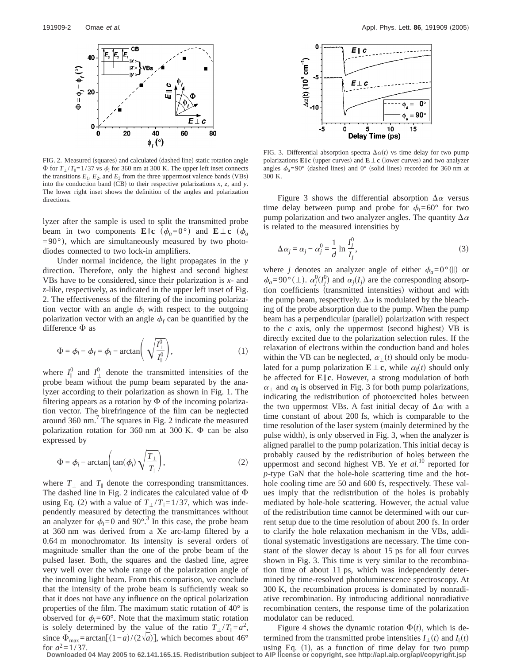

FIG. 2. Measured (squares) and calculated (dashed line) static rotation angle  $\Phi$  for  $T_1/T_1 = 1/37$  vs  $\phi_i$ ; for 360 nm at 300 K. The upper left inset connects the transitions  $E_1$ ,  $E_2$ , and  $E_3$  from the three uppermost valence bands (VBs) into the conduction band (CB) to their respective polarizations  $x$ ,  $z$ , and  $y$ . The lower right inset shows the definition of the angles and polarization directions.

lyzer after the sample is used to split the transmitted probe beam in two components  $\mathbf{E} \parallel \mathbf{c} \left( \phi_a = 0^\circ \right)$  and  $\mathbf{E} \perp \mathbf{c} \left( \phi_a \right)$  $=90^{\circ}$ ), which are simultaneously measured by two photodiodes connected to two lock-in amplifiers.

Under normal incidence, the light propagates in the *y* direction. Therefore, only the highest and second highest VBs have to be considered, since their polarization is *x*- and *z*-like, respectively, as indicated in the upper left inset of Fig. 2. The effectiveness of the filtering of the incoming polarization vector with an angle  $\phi_i$  with respect to the outgoing polarization vector with an angle  $\phi_f$  can be quantified by the difference  $\Phi$  as

$$
\Phi = \phi_i - \phi_f = \phi_i - \arctan\left(\sqrt{\frac{I_{\perp}^0}{I_{\parallel}^0}}\right),\tag{1}
$$

where  $I_{\parallel}^{0}$  and  $I_{\perp}^{0}$  denote the transmitted intensities of the probe beam without the pump beam separated by the analyzer according to their polarization as shown in Fig. 1. The filtering appears as a rotation by  $\Phi$  of the incoming polarization vector. The birefringence of the film can be neglected around  $360 \text{ nm}$ .<sup>7</sup> The squares in Fig. 2 indicate the measured polarization rotation for 360 nm at 300 K.  $\Phi$  can be also expressed by

$$
\Phi = \phi_i - \arctan\bigg(\tan(\phi_i) \sqrt{\frac{T_\perp}{T_\parallel}}\bigg),\tag{2}
$$

where  $T_{\perp}$  and  $T_{\parallel}$  denote the corresponding transmittances. The dashed line in Fig. 2 indicates the calculated value of  $\Phi$ using Eq. (2) with a value of  $T_{\perp}/T_{\parallel}=1/37$ , which was independently measured by detecting the transmittances without an analyzer for  $\phi_i = 0$  and 90°.<sup>3</sup> In this case, the probe beam at 360 nm was derived from a Xe arc-lamp filtered by a 0.64 m monochromator. Its intensity is several orders of magnitude smaller than the one of the probe beam of the pulsed laser. Both, the squares and the dashed line, agree very well over the whole range of the polarization angle of the incoming light beam. From this comparison, we conclude that the intensity of the probe beam is sufficiently weak so that it does not have any influence on the optical polarization properties of the film. The maximum static rotation of 40° is observed for  $\phi_i = 60^\circ$ . Note that the maximum static rotation is solely determined by the value of the ratio  $T_{\perp}/T_{\parallel}=a^2$ , since  $\Phi_{\text{max}} = \arctan[(1-a)/(2\sqrt{a})]$ , which becomes about 46° for  $a^2 = 1/37$ .



FIG. 3. Differential absorption spectra  $\Delta \alpha(t)$  vs time delay for two pump polarizations  $\mathbf{E} \parallel \mathbf{c}$  (upper curves) and  $\mathbf{E} \perp \mathbf{c}$  (lower curves) and two analyzer angles  $\phi_a = 90^\circ$  (dashed lines) and 0° (solid lines) recorded for 360 nm at 300 K.

Figure 3 shows the differential absorption  $\Delta \alpha$  versus time delay between pump and probe for  $\phi_i = 60^\circ$  for two pump polarization and two analyzer angles. The quantity  $\Delta \alpha$ is related to the measured intensities by

$$
\Delta \alpha_j = \alpha_j - \alpha_j^0 = \frac{1}{d} \ln \frac{I_j^0}{I_j},\tag{3}
$$

where *j* denotes an analyzer angle of either  $\phi_a = 0^{\circ}$  (||) or  $\phi_a = 90^\circ (\perp)$ .  $\alpha_j^0 (I_j^0)$  and  $\alpha_j (I_j)$  are the corresponding absorption coefficients (transmitted intensities) without and with the pump beam, respectively.  $\Delta \alpha$  is modulated by the bleaching of the probe absorption due to the pump. When the pump beam has a perpendicular (parallel) polarization with respect to the  $c$  axis, only the uppermost (second highest) VB is directly excited due to the polarization selection rules. If the relaxation of electrons within the conduction band and holes within the VB can be neglected,  $\alpha_{\perp}(t)$  should only be modulated for a pump polarization  $\mathbf{E} \perp \mathbf{c}$ , while  $\alpha_{\parallel}(t)$  should only be affected for **E**i**c**. However, a strong modulation of both  $\alpha_{\perp}$  and  $\alpha_{\parallel}$  is observed in Fig. 3 for both pump polarizations, indicating the redistribution of photoexcited holes between the two uppermost VBs. A fast initial decay of  $\Delta \alpha$  with a time constant of about 200 fs, which is comparable to the time resolution of the laser system (mainly determined by the pulse width), is only observed in Fig. 3, when the analyzer is aligned parallel to the pump polarization. This initial decay is probably caused by the redistribution of holes between the uppermost and second highest VB. Ye *et al.*<sup>10</sup> reported for *p*-type GaN that the hole-hole scattering time and the hothole cooling time are 50 and 600 fs, respectively. These values imply that the redistribution of the holes is probably mediated by hole-hole scattering. However, the actual value of the redistribution time cannot be determined with our current setup due to the time resolution of about 200 fs. In order to clarify the hole relaxation mechanism in the VBs, additional systematic investigations are necessary. The time constant of the slower decay is about 15 ps for all four curves shown in Fig. 3. This time is very similar to the recombination time of about 11 ps, which was independently determined by time-resolved photoluminescence spectroscopy. At 300 K, the recombination process is dominated by nonradiative recombination. By introducing additional nonradiative recombination centers, the response time of the polarization modulator can be reduced.

Figure 4 shows the dynamic rotation  $\Phi(t)$ , which is determined from the transmitted probe intensities  $I_{\perp}(t)$  and  $I_{\parallel}(t)$ using Eq.  $(1)$ , as a function of time delay for two pump

**Downloaded 04 May 2005 to 62.141.165.15. Redistribution subject to AIP license or copyright, see http://apl.aip.org/apl/copyright.jsp**